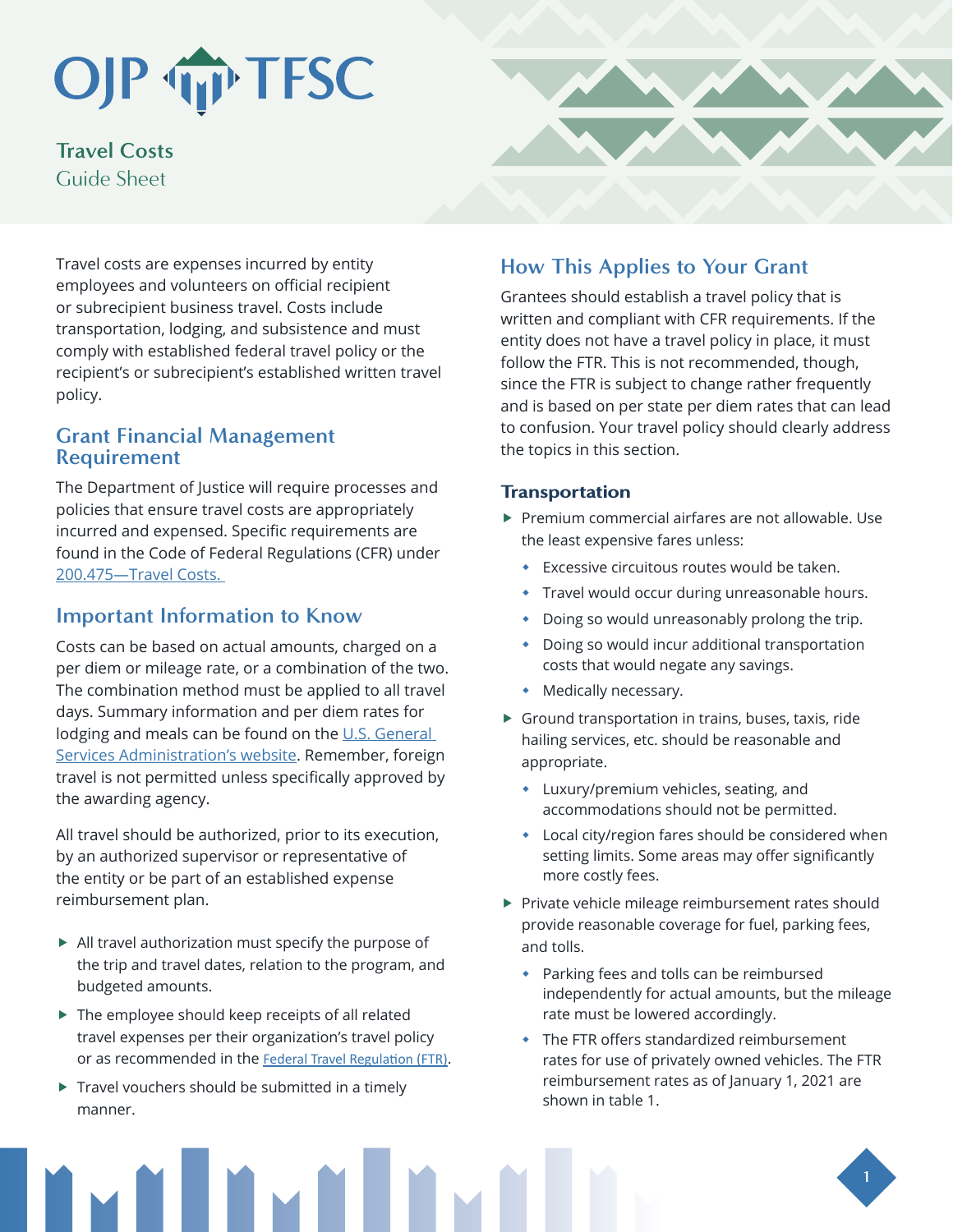# OJP TIP TFSC

**Travel Costs** Guide Sheet

Travel costs are expenses incurred by entity employees and volunteers on official recipient or subrecipient business travel. Costs include transportation, lodging, and subsistence and must comply with established federal travel policy or the recipient's or subrecipient's established written travel policy.

### **Grant Financial Management Requirement**

The Department of Justice will require processes and policies that ensure travel costs are appropriately incurred and expensed. Specific requirements are found in the Code of Federal Regulations (CFR) under [200.475—Travel Costs](https://www.ecfr.gov/cgi-bin/text-idx?SID=4bd259dcaf4ff55e5a5fb3651e2ee0b6&mc=true&node=se2.1.200_1475&rgn=div8).

## **Important Information to Know**

Costs can be based on actual amounts, charged on a per diem or mileage rate, or a combination of the two. The combination method must be applied to all travel days. Summary information and per diem rates for lodging and meals can be found on the U.S. General [Services Administration's website.](https://www.gsa.gov/travel-resources) Remember, foreign travel is not permitted unless specifically approved by the awarding agency.

All travel should be authorized, prior to its execution, by an authorized supervisor or representative of the entity or be part of an established expense reimbursement plan.

- $\blacktriangleright$  All travel authorization must specify the purpose of the trip and travel dates, relation to the program, and budgeted amounts.
- $\blacktriangleright$  The employee should keep receipts of all related travel expenses per their organization's travel policy or as recommended in the [Federal Travel Regulation \(FTR\)](http://www.gsa.gov/portal/content/104790).
- $\triangleright$  Travel vouchers should be submitted in a timely manner.

# **How This Applies to Your Grant**

Grantees should establish a travel policy that is written and compliant with CFR requirements. If the entity does not have a travel policy in place, it must follow the FTR. This is not recommended, though, since the FTR is subject to change rather frequently and is based on per state per diem rates that can lead to confusion. Your travel policy should clearly address the topics in this section.

#### **Transportation**

- $\blacktriangleright$  Premium commercial airfares are not allowable. Use the least expensive fares unless:
	- Excessive circuitous routes would be taken.
	- **Travel would occur during unreasonable hours.**
	- Doing so would unreasonably prolong the trip.
	- Doing so would incur additional transportation costs that would negate any savings.
	- Medically necessary.
- $\triangleright$  Ground transportation in trains, buses, taxis, ride hailing services, etc. should be reasonable and appropriate.
	- Luxury/premium vehicles, seating, and accommodations should not be permitted.
	- Local city/region fares should be considered when setting limits. Some areas may offer significantly more costly fees.
- $\blacktriangleright$  Private vehicle mileage reimbursement rates should provide reasonable coverage for fuel, parking fees, and tolls.
	- Parking fees and tolls can be reimbursed independently for actual amounts, but the mileage rate must be lowered accordingly.
	- The FTR offers standardized reimbursement rates for use of privately owned vehicles. The FTR reimbursement rates as of January 1, 2021 are shown in table 1.

**1**